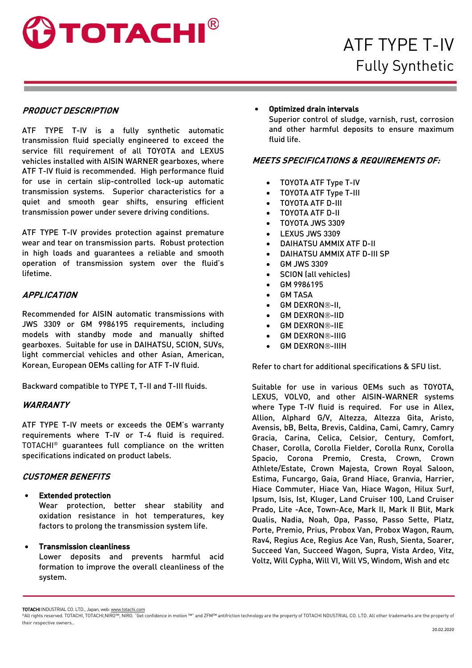

# **PRODUCT DESCRIPTION**

ATF TYPE T-IV is a fully synthetic automatic transmission fluid specially engineered to exceed the service fill requirement of all TOYOTA and LEXUS vehicles installed with AISIN WARNER gearboxes, where ATF T-IV fluid is recommended. High performance fluid for use in certain slip-controlled lock-up automatic transmission systems. Superior characteristics for a quiet and smooth gear shifts, ensuring efficient transmission power under severe driving conditions.

ATF TYPE T-IV provides protection against premature wear and tear on transmission parts. Robust protection in high loads and guarantees a reliable and smooth operation of transmission system over the fluid's lifetime.

### **APPLICATION**

Recommended for AISIN automatic transmissions with JWS 3309 or GM 9986195 requirements, including models with standby mode and manually shifted gearboxes. Suitable for use in DAIHATSU, SCION, SUVs, light commercial vehicles and other Asian, American, Korean, European OEMs calling for ATF T-IV fluid.

Backward compatible to TYPE T, T-II and T-III fluids.

# **WARRANTY**

ATF TYPE T-IV meets or exceeds the OEM's warranty requirements where T-IV or T-4 fluid is required. TOTACHI® guarantees full compliance on the written specifications indicated on product labels.

# **CUSTOMER BENEFITS**

#### **Extended protection**

Wear protection, better shear stability and oxidation resistance in hot temperatures, key factors to prolong the transmission system life.

#### • Transmission cleanliness

Lower deposits and prevents harmful acid formation to improve the overall cleanliness of the system.

### • Optimized drain intervals

Superior control of sludge, varnish, rust, corrosion and other harmful deposits to ensure maximum fluid life.

# **MEETS SPECIFICATIONS & REQUIREMENTS OF:**

- TOYOTA ATF Type T-IV
- TOYOTA ATF Type T-III
- TOYOTA ATF D-III
- TOYOTA ATF D-II
- TOYOTA JWS 3309
- LEXUS JWS 3309
- DAIHATSU AMMIX ATF D-II
- DAIHATSU AMMIX ATF D-III SP
- GM JWS 3309
- SCION (all vehicles)
- GM 9986195
- **GM TASA**
- GM DEXRON®-II,
- **GM DEXRON®-IID**
- **GM DEXRON®-IIE**
- **GM DEXRON®-IIIG**
- **GM DEXRON®-IIIH**

Refer to chart for additional specifications & SFU list.

Suitable for use in various OEMs such as TOYOTA, LEXUS, VOLVO, and other AISIN-WARNER systems where Type T-IV fluid is required. For use in Allex, Allion, Alphard G/V, Altezza, Altezza Gita, Aristo, Avensis, bB, Belta, Brevis, Caldina, Cami, Camry, Camry Gracia, Carina, Celica, Celsior, Century, Comfort, Chaser, Corolla, Corolla Fielder, Corolla Runx, Corolla Spacio, Corona Premio, Cresta, Crown, Crown Athlete/Estate, Crown Majesta, Crown Royal Saloon, Estima, Funcargo, Gaia, Grand Hiace, Granvia, Harrier, Hiace Commuter, Hiace Van, Hiace Wagon, Hilux Surf, Ipsum, Isis, Ist, Kluger, Land Cruiser 100, Land Cruiser Prado, Lite -Ace, Town-Ace, Mark II, Mark II Blit, Mark Qualis, Nadia, Noah, Opa, Passo, Passo Sette, Platz, Porte, Premio, Prius, Probox Van, Probox Wagon, Raum, Rav4, Regius Ace, Regius Ace Van, Rush, Sienta, Soarer, Succeed Van, Succeed Wagon, Supra, Vista Ardeo, Vitz, Voltz, Will Cypha, Will VI, Will VS, Windom, Wish and etc

TOTACHI INDUSTRIAL CO. LTD., Japan, web: www.totachi.com

<sup>©</sup>All rights reserved. TOTACHI, TOTACHI,NIRO™, NIRO. "Get confidence in motion ™" and ZFM™ antifriction technology are the property of TOTACHI NDUSTRIAL CO. LTD. All other trademarks are the property of their respective owners..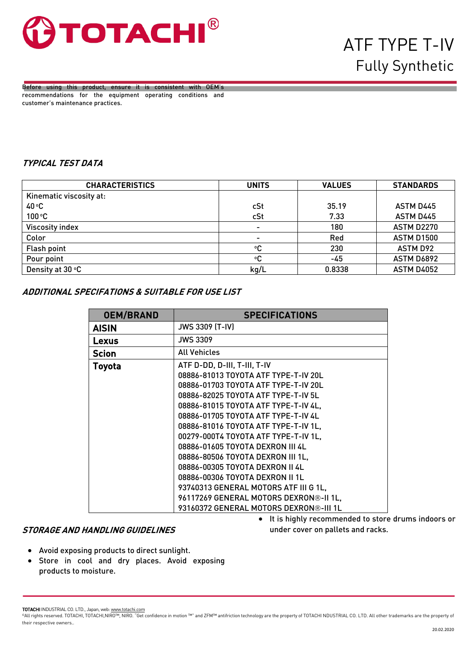

Before using this product, ensure it is consistent with OEM's recommendations for the equipment operating conditions and customer's maintenance practices.

# **TYPICAL TEST DATA**

| <b>CHARACTERISTICS</b>  | <b>UNITS</b>   | <b>VALUES</b> | <b>STANDARDS</b>  |
|-------------------------|----------------|---------------|-------------------|
| Kinematic viscosity at: |                |               |                   |
| $40^{\circ}$ C          | cSt            | 35.19         | <b>ASTM D445</b>  |
| 100 °C                  | cSt            | 7.33          | ASTM D445         |
| <b>Viscosity index</b>  | $\blacksquare$ | 180           | <b>ASTM D2270</b> |
| Color                   | ٠              | Red           | <b>ASTM D1500</b> |
| <b>Flash point</b>      | ۰C             | 230           | ASTM D92          |
| Pour point              | ۰C             | -45           | <b>ASTM D6892</b> |
| Density at 30 °C        | kg/L           | 0.8338        | <b>ASTM D4052</b> |

# **ADDITIONAL SPECIFATIONS & SUITABLE FOR USE LIST**

| <b>OEM/BRAND</b> | <b>SPECIFICATIONS</b>                                                                                                                                                                                                                                                                                                                                                                                                                                             |
|------------------|-------------------------------------------------------------------------------------------------------------------------------------------------------------------------------------------------------------------------------------------------------------------------------------------------------------------------------------------------------------------------------------------------------------------------------------------------------------------|
| <b>AISIN</b>     | <b>JWS 3309 (T-IV)</b>                                                                                                                                                                                                                                                                                                                                                                                                                                            |
| Lexus            | <b>JWS 3309</b>                                                                                                                                                                                                                                                                                                                                                                                                                                                   |
| <b>Scion</b>     | <b>All Vehicles</b>                                                                                                                                                                                                                                                                                                                                                                                                                                               |
| Toyota           | ATF D-DD, D-III, T-III, T-IV<br>08886-81013 TOYOTA ATF TYPE-T-IV 20L<br>08886-01703 TOYOTA ATF TYPE-T-IV 20L<br>08886-82025 TOYOTA ATF TYPE-T-IV 5L<br>08886-81015 TOYOTA ATF TYPE-T-IV 4L,<br>08886-01705 TOYOTA ATF TYPE-T-IV 4L<br>08886-81016 TOYOTA ATF TYPE-T-IV 1L,<br>00279-000T4 TOYOTA ATF TYPE-T-IV 1L,<br>08886-01605 TOYOTA DEXRON III 4L<br>08886-80506 TOYOTA DEXRON III 1L,<br>08886-00305 TOYOTA DEXRON II 4L<br>08886-00306 TOYOTA DEXRON II 1L |
|                  | 93740313 GENERAL MOTORS ATF III G 1L,<br>96117269 GENERAL MOTORS DEXRON®-II 1L,<br>93160372 GENERAL MOTORS DEXRON®-III 1L                                                                                                                                                                                                                                                                                                                                         |

#### **STORAGE AND HANDLING GUIDELINES**

- It is highly recommended to store drums indoors or under cover on pallets and racks.
- Avoid exposing products to direct sunlight.
- Store in cool and dry places. Avoid exposing products to moisture.

TOTACHI INDUSTRIAL CO. LTD., Japan, web: www.totachi.com

<sup>©</sup>All rights reserved. TOTACHI, TOTACHI,NIRO™, NIRO. "Get confidence in motion ™" and ZFM™ antifriction technology are the property of TOTACHI NDUSTRIAL CO. LTD. All other trademarks are the property of their respective owners..